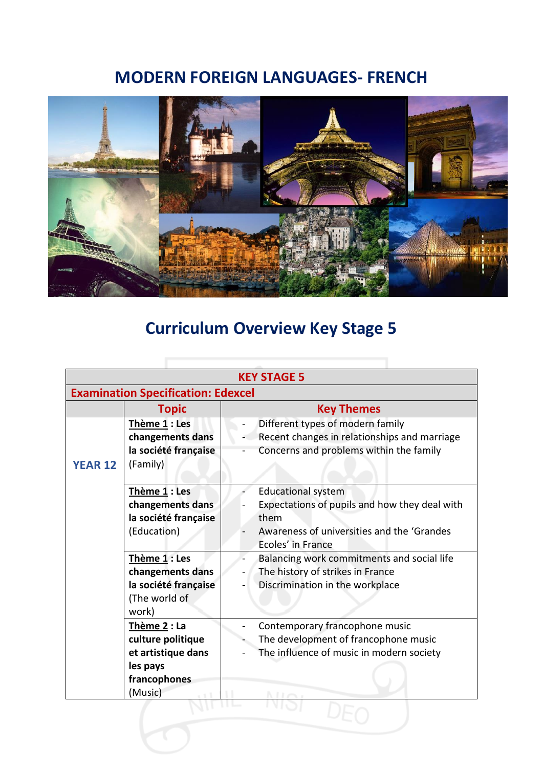## **MODERN FOREIGN LANGUAGES- FRENCH**



## **Curriculum Overview Key Stage 5**

| <b>Examination Specification: Edexcel</b><br><b>Key Themes</b><br><b>Topic</b><br>Thème 1 : Les<br>Different types of modern family<br>Recent changes in relationships and marriage<br>changements dans<br>Concerns and problems within the family<br>la société française<br>(Family)<br><b>YEAR 12</b><br>Thème 1 : Les<br><b>Educational system</b><br>Expectations of pupils and how they deal with<br>changements dans | <b>KEY STAGE 5</b> |                      |      |  |  |
|-----------------------------------------------------------------------------------------------------------------------------------------------------------------------------------------------------------------------------------------------------------------------------------------------------------------------------------------------------------------------------------------------------------------------------|--------------------|----------------------|------|--|--|
|                                                                                                                                                                                                                                                                                                                                                                                                                             |                    |                      |      |  |  |
|                                                                                                                                                                                                                                                                                                                                                                                                                             |                    |                      |      |  |  |
|                                                                                                                                                                                                                                                                                                                                                                                                                             |                    |                      |      |  |  |
| (Education)<br>Awareness of universities and the 'Grandes<br>Ecoles' in France                                                                                                                                                                                                                                                                                                                                              |                    | la société française | them |  |  |
| Thème 1 : Les<br>Balancing work commitments and social life<br>The history of strikes in France<br>changements dans<br>la société française<br>Discrimination in the workplace<br>(The world of<br>work)                                                                                                                                                                                                                    |                    |                      |      |  |  |
| Thème 2 : La<br>Contemporary francophone music<br>culture politique<br>The development of francophone music<br>et artistique dans<br>The influence of music in modern society<br>les pays<br>francophones<br>(Music)                                                                                                                                                                                                        |                    |                      |      |  |  |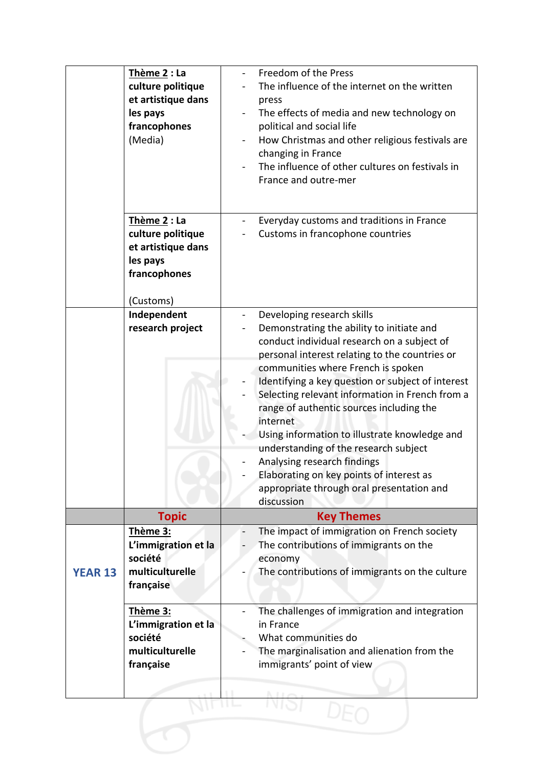|                | Thème 2 : La<br>culture politique<br>et artistique dans<br>les pays<br>francophones<br>(Media)   | Freedom of the Press<br>The influence of the internet on the written<br>press<br>The effects of media and new technology on<br>political and social life<br>How Christmas and other religious festivals are<br>changing in France<br>The influence of other cultures on festivals in<br>France and outre-mer                                                                                                                                                                                                                                                                                                   |
|----------------|--------------------------------------------------------------------------------------------------|----------------------------------------------------------------------------------------------------------------------------------------------------------------------------------------------------------------------------------------------------------------------------------------------------------------------------------------------------------------------------------------------------------------------------------------------------------------------------------------------------------------------------------------------------------------------------------------------------------------|
|                | Thème 2 : La<br>culture politique<br>et artistique dans<br>les pays<br>francophones<br>(Customs) | Everyday customs and traditions in France<br>Customs in francophone countries                                                                                                                                                                                                                                                                                                                                                                                                                                                                                                                                  |
|                | Independent<br>research project                                                                  | Developing research skills<br>Demonstrating the ability to initiate and<br>conduct individual research on a subject of<br>personal interest relating to the countries or<br>communities where French is spoken<br>Identifying a key question or subject of interest<br>Selecting relevant information in French from a<br>range of authentic sources including the<br>internet<br>Using information to illustrate knowledge and<br>understanding of the research subject<br>Analysing research findings<br>Elaborating on key points of interest as<br>appropriate through oral presentation and<br>discussion |
|                | <b>Topic</b>                                                                                     | <b>Key Themes</b>                                                                                                                                                                                                                                                                                                                                                                                                                                                                                                                                                                                              |
| <b>YEAR 13</b> | Thème 3:<br>L'immigration et la<br>société<br>multiculturelle<br>française                       | The impact of immigration on French society<br>The contributions of immigrants on the<br>economy<br>The contributions of immigrants on the culture                                                                                                                                                                                                                                                                                                                                                                                                                                                             |
|                | Thème 3:<br>L'immigration et la<br>société<br>multiculturelle<br>française                       | The challenges of immigration and integration<br>in France<br>What communities do<br>The marginalisation and alienation from the<br>immigrants' point of view                                                                                                                                                                                                                                                                                                                                                                                                                                                  |
|                |                                                                                                  |                                                                                                                                                                                                                                                                                                                                                                                                                                                                                                                                                                                                                |